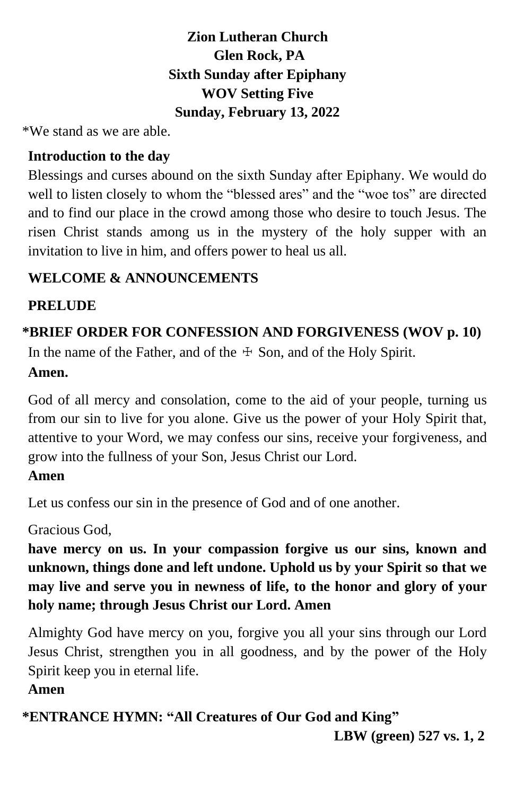# **Zion Lutheran Church Glen Rock, PA Sixth Sunday after Epiphany WOV Setting Five Sunday, February 13, 2022**

\*We stand as we are able.

# **Introduction to the day**

Blessings and curses abound on the sixth Sunday after Epiphany. We would do well to listen closely to whom the "blessed ares" and the "woe tos" are directed and to find our place in the crowd among those who desire to touch Jesus. The risen Christ stands among us in the mystery of the holy supper with an invitation to live in him, and offers power to heal us all.

# **WELCOME & ANNOUNCEMENTS**

# **PRELUDE**

# **\*BRIEF ORDER FOR CONFESSION AND FORGIVENESS (WOV p. 10)**

In the name of the Father, and of the  $\pm$  Son, and of the Holy Spirit.

# **Amen.**

God of all mercy and consolation, come to the aid of your people, turning us from our sin to live for you alone. Give us the power of your Holy Spirit that, attentive to your Word, we may confess our sins, receive your forgiveness, and grow into the fullness of your Son, Jesus Christ our Lord.

# **Amen**

Let us confess our sin in the presence of God and of one another.

Gracious God,

**have mercy on us. In your compassion forgive us our sins, known and unknown, things done and left undone. Uphold us by your Spirit so that we may live and serve you in newness of life, to the honor and glory of your holy name; through Jesus Christ our Lord. Amen**

Almighty God have mercy on you, forgive you all your sins through our Lord Jesus Christ, strengthen you in all goodness, and by the power of the Holy Spirit keep you in eternal life.

# **Amen**

**\*ENTRANCE HYMN: "All Creatures of Our God and King"**

 **LBW (green) 527 vs. 1, 2**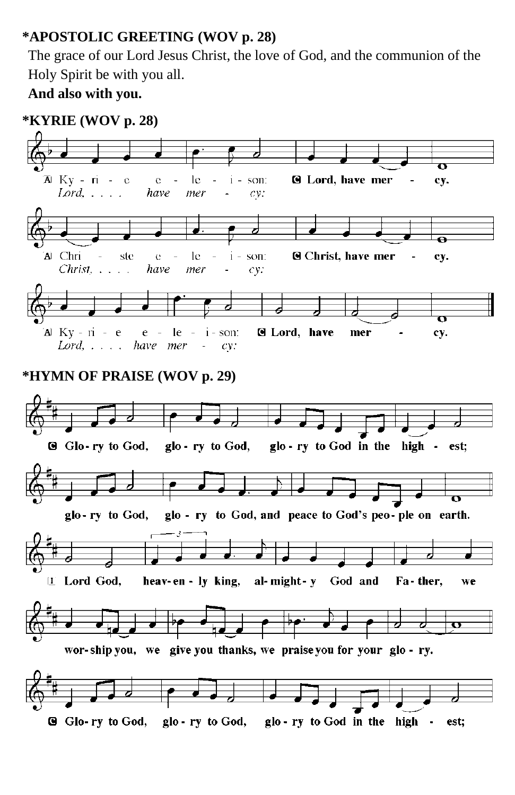# **\*APOSTOLIC GREETING (WOV p. 28)**

The grace of our Lord Jesus Christ, the love of God, and the communion of the Holy Spirit be with you all.

**And also with you.**

#### **\*KYRIE (WOV p. 28)**

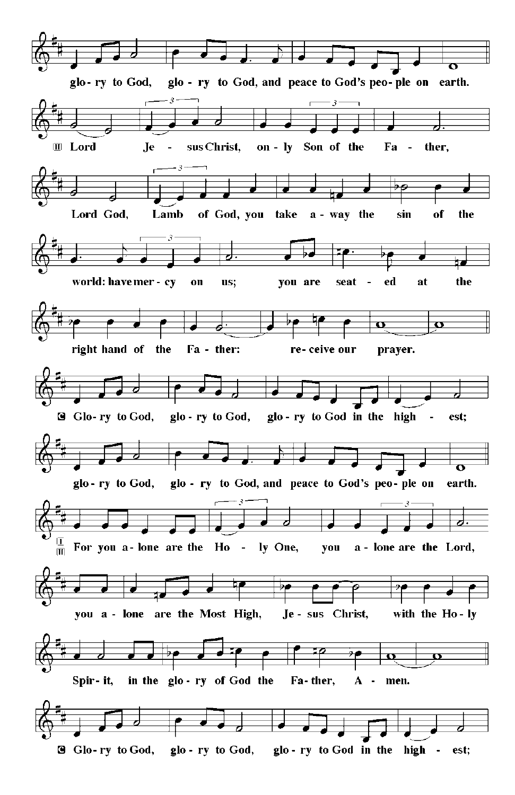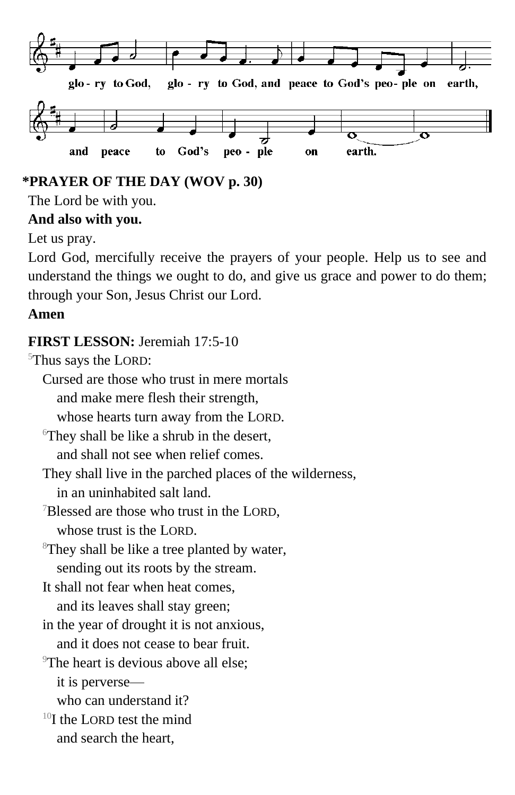

# **\*PRAYER OF THE DAY (WOV p. 30)**

The Lord be with you.

#### **And also with you.**

Let us pray.

Lord God, mercifully receive the prayers of your people. Help us to see and understand the things we ought to do, and give us grace and power to do them; through your Son, Jesus Christ our Lord.

# **Amen**

# **FIRST LESSON:** Jeremiah 17:5-10

<sup>5</sup>Thus says the LORD:

- Cursed are those who trust in mere mortals and make mere flesh their strength, whose hearts turn away from the LORD.  $\sigma$ <sup>6</sup>They shall be like a shrub in the desert. and shall not see when relief comes. They shall live in the parched places of the wilderness, in an uninhabited salt land.
- <sup>7</sup>Blessed are those who trust in the LORD. whose trust is the LORD.
- <sup>8</sup>They shall be like a tree planted by water, sending out its roots by the stream.
- It shall not fear when heat comes,
- and its leaves shall stay green; in the year of drought it is not anxious,
- and it does not cease to bear fruit.
- 
- <sup>9</sup>The heart is devious above all else: it is perverse
	- who can understand it?
- $10I$  the LORD test the mind and search the heart,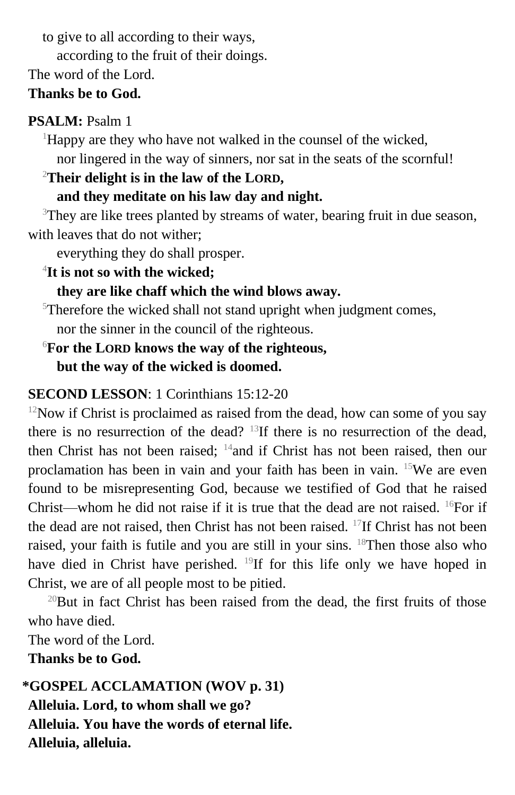to give to all according to their ways,

according to the fruit of their doings.

The word of the Lord.

# **Thanks be to God.**

# **PSALM:** Psalm 1

 $\rm^1H$ appy are they who have not walked in the counsel of the wicked,

nor lingered in the way of sinners, nor sat in the seats of the scornful!

# <sup>2</sup>**Their delight is in the law of the LORD,**

# **and they meditate on his law day and night.**

<sup>3</sup>They are like trees planted by streams of water, bearing fruit in due season, with leaves that do not wither:

everything they do shall prosper.

4 **It is not so with the wicked;**

# **they are like chaff which the wind blows away.**

 $5$ Therefore the wicked shall not stand upright when judgment comes, nor the sinner in the council of the righteous.

# <sup>6</sup>**For the LORD knows the way of the righteous, but the way of the wicked is doomed.**

# **SECOND LESSON**: 1 Corinthians 15:12-20

 $12$ Now if Christ is proclaimed as raised from the dead, how can some of you say there is no resurrection of the dead?  $^{13}$ If there is no resurrection of the dead, then Christ has not been raised; <sup>14</sup>and if Christ has not been raised, then our proclamation has been in vain and your faith has been in vain. <sup>15</sup>We are even found to be misrepresenting God, because we testified of God that he raised Christ—whom he did not raise if it is true that the dead are not raised. <sup>16</sup>For if the dead are not raised, then Christ has not been raised. <sup>17</sup>If Christ has not been raised, your faith is futile and you are still in your sins. <sup>18</sup>Then those also who have died in Christ have perished. <sup>19</sup>If for this life only we have hoped in Christ, we are of all people most to be pitied.

 $^{20}$ But in fact Christ has been raised from the dead, the first fruits of those who have died.

The word of the Lord.

**Thanks be to God.**

**\*GOSPEL ACCLAMATION (WOV p. 31) Alleluia. Lord, to whom shall we go? Alleluia. You have the words of eternal life. Alleluia, alleluia.**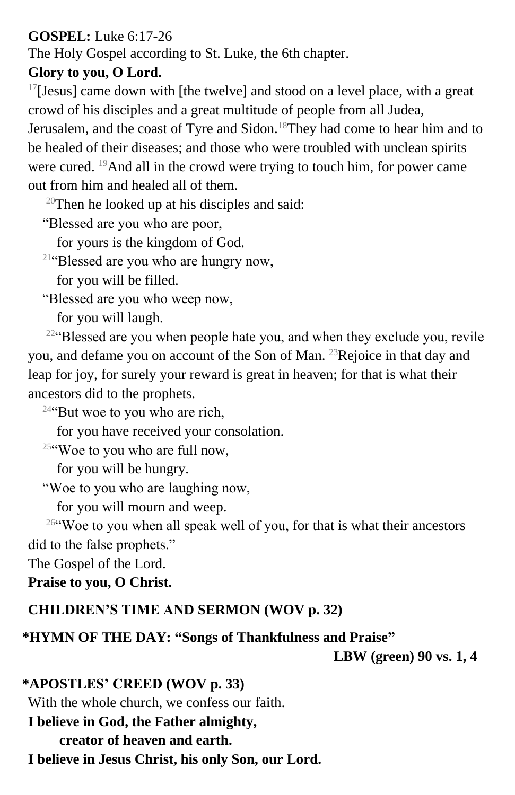# **GOSPEL:** Luke 6:17-26

The Holy Gospel according to St. Luke, the 6th chapter.

# **Glory to you, O Lord.**

 $17$ [Jesus] came down with [the twelve] and stood on a level place, with a great crowd of his disciples and a great multitude of people from all Judea,

Jerusalem, and the coast of Tyre and Sidon.<sup>18</sup>They had come to hear him and to be healed of their diseases; and those who were troubled with unclean spirits were cured. <sup>19</sup>And all in the crowd were trying to touch him, for power came out from him and healed all of them.

 $20$ Then he looked up at his disciples and said:

"Blessed are you who are poor,

for yours is the kingdom of God.

<sup>21</sup>"Blessed are you who are hungry now,

for you will be filled.

"Blessed are you who weep now,

for you will laugh.

<sup>22</sup>"Blessed are you when people hate you, and when they exclude you, revile you, and defame you on account of the Son of Man. <sup>23</sup>Rejoice in that day and leap for joy, for surely your reward is great in heaven; for that is what their ancestors did to the prophets.

 $24$ "But woe to you who are rich,

for you have received your consolation.

 $25$ "Woe to you who are full now,

for you will be hungry.

"Woe to you who are laughing now,

for you will mourn and weep.

<sup>26</sup>"Woe to you when all speak well of you, for that is what their ancestors

did to the false prophets."

The Gospel of the Lord.

# **Praise to you, O Christ.**

# **CHILDREN'S TIME AND SERMON (WOV p. 32)**

# **\*HYMN OF THE DAY: "Songs of Thankfulness and Praise"**

 **LBW (green) 90 vs. 1, 4**

**\*APOSTLES' CREED (WOV p. 33)** With the whole church, we confess our faith. **I believe in God, the Father almighty,**

**creator of heaven and earth.**

**I believe in Jesus Christ, his only Son, our Lord.**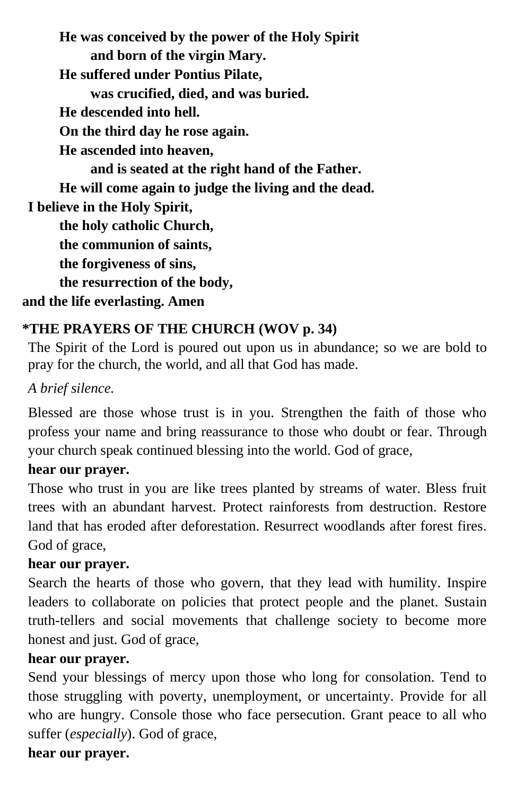**He was conceived by the power of the Holy Spirit and born of the virgin Mary. He suffered under Pontius Pilate, was crucified, died, and was buried. He descended into hell. On the third day he rose again. He ascended into heaven, and is seated at the right hand of the Father. He will come again to judge the living and the dead. I believe in the Holy Spirit, the holy catholic Church, the communion of saints, the forgiveness of sins, the resurrection of the body, and the life everlasting. Amen**

# **\*THE PRAYERS OF THE CHURCH (WOV p. 34)**

The Spirit of the Lord is poured out upon us in abundance; so we are bold to pray for the church, the world, and all that God has made.

# *A brief silence.*

Blessed are those whose trust is in you. Strengthen the faith of those who profess your name and bring reassurance to those who doubt or fear. Through your church speak continued blessing into the world. God of grace,

#### **hear our prayer.**

Those who trust in you are like trees planted by streams of water. Bless fruit trees with an abundant harvest. Protect rainforests from destruction. Restore land that has eroded after deforestation. Resurrect woodlands after forest fires. God of grace,

#### **hear our prayer.**

Search the hearts of those who govern, that they lead with humility. Inspire leaders to collaborate on policies that protect people and the planet. Sustain truth-tellers and social movements that challenge society to become more honest and just. God of grace,

#### **hear our prayer.**

Send your blessings of mercy upon those who long for consolation. Tend to those struggling with poverty, unemployment, or uncertainty. Provide for all who are hungry. Console those who face persecution. Grant peace to all who suffer (*especially*). God of grace,

#### **hear our prayer.**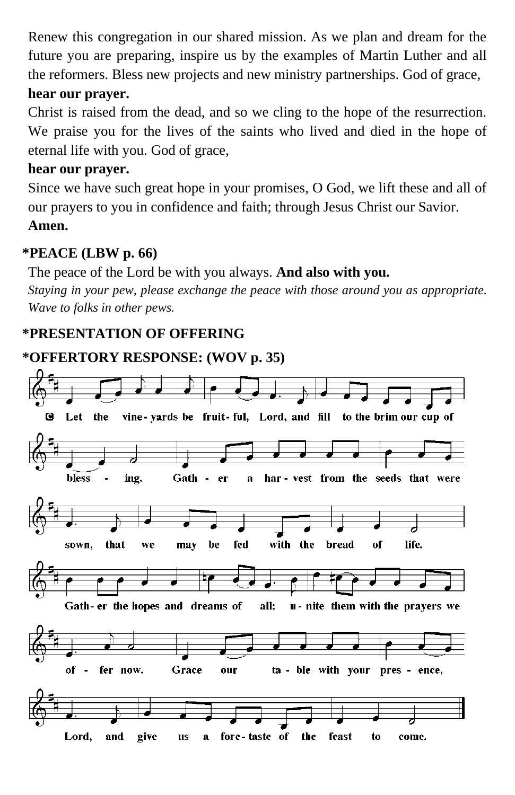Renew this congregation in our shared mission. As we plan and dream for the future you are preparing, inspire us by the examples of Martin Luther and all the reformers. Bless new projects and new ministry partnerships. God of grace,

#### **hear our prayer.**

Christ is raised from the dead, and so we cling to the hope of the resurrection. We praise you for the lives of the saints who lived and died in the hope of eternal life with you. God of grace,

#### **hear our prayer.**

Since we have such great hope in your promises, O God, we lift these and all of our prayers to you in confidence and faith; through Jesus Christ our Savior.

#### **Amen.**

# **\*PEACE (LBW p. 66)**

The peace of the Lord be with you always. **And also with you.**  *Staying in your pew, please exchange the peace with those around you as appropriate. Wave to folks in other pews.*

# **\*PRESENTATION OF OFFERING**

# **\*OFFERTORY RESPONSE: (WOV p. 35)**

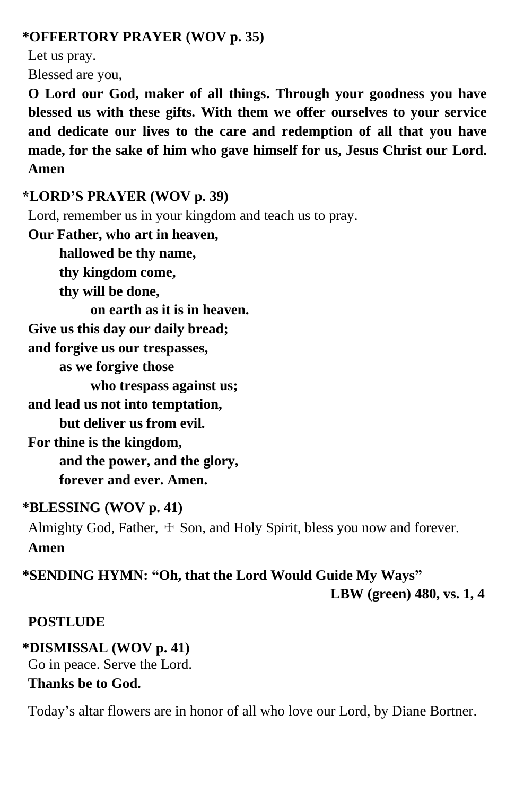#### **\*OFFERTORY PRAYER (WOV p. 35)**

Let us pray.

Blessed are you,

**O Lord our God, maker of all things. Through your goodness you have blessed us with these gifts. With them we offer ourselves to your service and dedicate our lives to the care and redemption of all that you have made, for the sake of him who gave himself for us, Jesus Christ our Lord. Amen**

#### **\*LORD'S PRAYER (WOV p. 39)**

Lord, remember us in your kingdom and teach us to pray.

**Our Father, who art in heaven,**

**hallowed be thy name, thy kingdom come,**

**thy will be done,**

**on earth as it is in heaven.**

**Give us this day our daily bread;**

**and forgive us our trespasses,**

**as we forgive those**

**who trespass against us;**

**and lead us not into temptation,**

**but deliver us from evil.**

**For thine is the kingdom, and the power, and the glory, forever and ever. Amen.**

#### **\*BLESSING (WOV p. 41)**

Almighty God, Father,  $\pm$  Son, and Holy Spirit, bless you now and forever. **Amen**

**\*SENDING HYMN: "Oh, that the Lord Would Guide My Ways" LBW (green) 480, vs. 1, 4**

#### **POSTLUDE**

**\*DISMISSAL (WOV p. 41)** Go in peace. Serve the Lord. **Thanks be to God.**

Today's altar flowers are in honor of all who love our Lord, by Diane Bortner.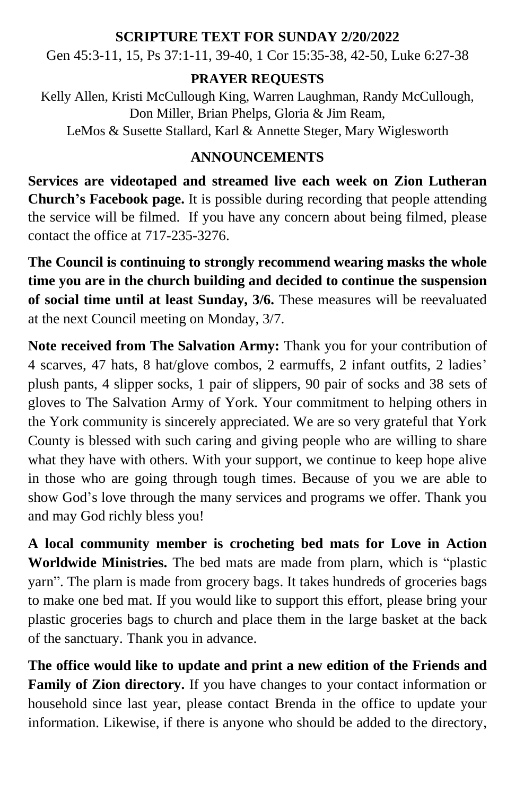#### **SCRIPTURE TEXT FOR SUNDAY 2/20/2022**

Gen 45:3-11, 15, Ps 37:1-11, 39-40, 1 Cor 15:35-38, 42-50, Luke 6:27-38

#### **PRAYER REQUESTS**

Kelly Allen, Kristi McCullough King, Warren Laughman, Randy McCullough, Don Miller, Brian Phelps, Gloria & Jim Ream,

LeMos & Susette Stallard, Karl & Annette Steger, Mary Wiglesworth

# **ANNOUNCEMENTS**

**Services are videotaped and streamed live each week on Zion Lutheran Church's Facebook page.** It is possible during recording that people attending the service will be filmed. If you have any concern about being filmed, please contact the office at 717-235-3276.

**The Council is continuing to strongly recommend wearing masks the whole time you are in the church building and decided to continue the suspension of social time until at least Sunday, 3/6.** These measures will be reevaluated at the next Council meeting on Monday, 3/7.

**Note received from The Salvation Army:** Thank you for your contribution of 4 scarves, 47 hats, 8 hat/glove combos, 2 earmuffs, 2 infant outfits, 2 ladies' plush pants, 4 slipper socks, 1 pair of slippers, 90 pair of socks and 38 sets of gloves to The Salvation Army of York. Your commitment to helping others in the York community is sincerely appreciated. We are so very grateful that York County is blessed with such caring and giving people who are willing to share what they have with others. With your support, we continue to keep hope alive in those who are going through tough times. Because of you we are able to show God's love through the many services and programs we offer. Thank you and may God richly bless you!

**A local community member is crocheting bed mats for Love in Action Worldwide Ministries.** The bed mats are made from plarn, which is "plastic yarn". The plarn is made from grocery bags. It takes hundreds of groceries bags to make one bed mat. If you would like to support this effort, please bring your plastic groceries bags to church and place them in the large basket at the back of the sanctuary. Thank you in advance.

**The office would like to update and print a new edition of the Friends and Family of Zion directory.** If you have changes to your contact information or household since last year, please contact Brenda in the office to update your information. Likewise, if there is anyone who should be added to the directory,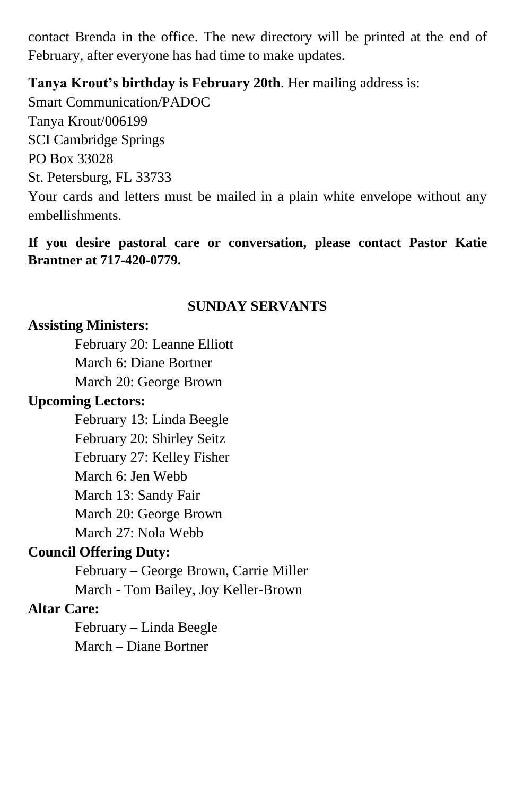contact Brenda in the office. The new directory will be printed at the end of February, after everyone has had time to make updates.

#### **Tanya Krout's birthday is February 20th**. Her mailing address is:

Smart Communication/PADOC Tanya Krout/006199 SCI Cambridge Springs PO Box 33028 St. Petersburg, FL 33733 Your cards and letters must be mailed in a plain white envelope without any embellishments.

#### **If you desire pastoral care or conversation, please contact Pastor Katie Brantner at 717-420-0779.**

#### **SUNDAY SERVANTS**

#### **Assisting Ministers:**

February 20: Leanne Elliott March 6: Diane Bortner March 20: George Brown

# **Upcoming Lectors:**

February 13: Linda Beegle February 20: Shirley Seitz February 27: Kelley Fisher March 6: Jen Webb March 13: Sandy Fair March 20: George Brown March 27: Nola Webb

# **Council Offering Duty:**

February – George Brown, Carrie Miller March - Tom Bailey, Joy Keller-Brown

#### **Altar Care:**

February – Linda Beegle March – Diane Bortner